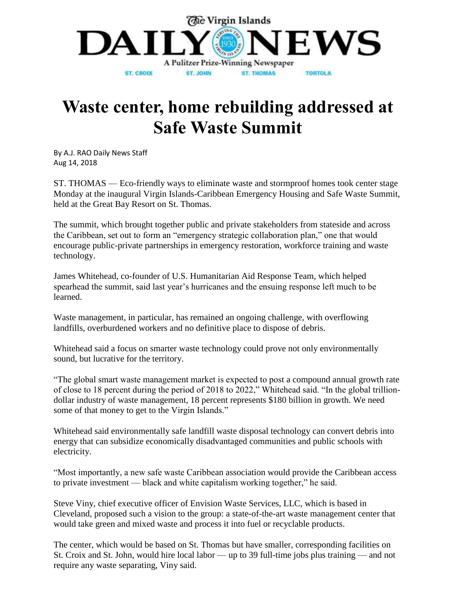

## **Waste center, home rebuilding addressed at Safe Waste Summit**

[By A.J. RAO Daily News Staff](https://www.virginislandsdailynews.com/users/profile/AJRao)  Aug 14, 2018

ST. THOMAS — Eco-friendly ways to eliminate waste and stormproof homes took center stage Monday at the inaugural Virgin Islands-Caribbean Emergency Housing and Safe Waste Summit, held at the Great Bay Resort on St. Thomas.

The summit, which brought together public and private stakeholders from stateside and across the Caribbean, set out to form an "emergency strategic collaboration plan," one that would encourage public-private partnerships in emergency restoration, workforce training and waste technology.

James Whitehead, co-founder of U.S. Humanitarian Aid Response Team, which helped spearhead the summit, said last year's hurricanes and the ensuing response left much to be learned.

Waste management, in particular, has remained an ongoing challenge, with overflowing landfills, overburdened workers and no definitive place to dispose of debris.

Whitehead said a focus on smarter waste technology could prove not only environmentally sound, but lucrative for the territory.

"The global smart waste management market is expected to post a compound annual growth rate of close to 18 percent during the period of 2018 to 2022," Whitehead said. "In the global trilliondollar industry of waste management, 18 percent represents \$180 billion in growth. We need some of that money to get to the Virgin Islands."

Whitehead said environmentally safe landfill waste disposal technology can convert debris into energy that can subsidize economically disadvantaged communities and public schools with electricity.

"Most importantly, a new safe waste Caribbean association would provide the Caribbean access to private investment — black and white capitalism working together," he said.

Steve Viny, chief executive officer of Envision Waste Services, LLC, which is based in Cleveland, proposed such a vision to the group: a state-of-the-art waste management center that would take green and mixed waste and process it into fuel or recyclable products.

The center, which would be based on St. Thomas but have smaller, corresponding facilities on St. Croix and St. John, would hire local labor — up to 39 full-time jobs plus training — and not require any waste separating, Viny said.